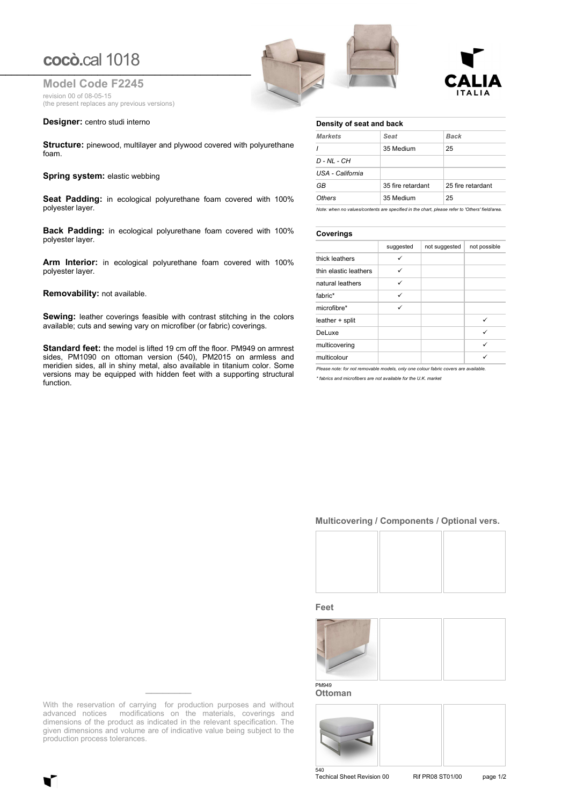# **cocò.**cal 1018

**Model Code F2245** revision 00 of 08-05-15 (the present replaces any previous versions)

## **Designer:** centro studi interno

**Structure:** pinewood, multilayer and plywood covered with polyurethane foam.

## **Spring system: elastic webbing**

**Seat Padding:** in ecological polyurethane foam covered with 100% polyester layer.

**Back Padding:** in ecological polyurethane foam covered with 100% polyester layer.

**Arm Interior:** in ecological polyurethane foam covered with 100% polyester layer.

### **Removability:** not available.

**Sewing:** leather coverings feasible with contrast stitching in the colors available; cuts and sewing vary on microfiber (or fabric) coverings.

**Standard feet:** the model is lifted 19 cm off the floor. PM949 on armrest sides, PM1090 on ottoman version (540), PM2015 on armless and meridien sides, all in shiny metal, also available in titanium color. Some versions may be equipped with hidden feet with a supporting structural function.

| cocò.cal 1018                                      |  |
|----------------------------------------------------|--|
| <b>Model Code F2245</b><br>revision 00 of 08-05-15 |  |



## **Density of seat and back**

| <b>Markets</b>   | Seat              | Back              |
|------------------|-------------------|-------------------|
|                  | 35 Medium         | 25                |
| $D - NL - CH$    |                   |                   |
| USA - California |                   |                   |
| GB               | 35 fire retardant | 25 fire retardant |
| Others           | 35 Medium         | 25                |

*Note: when no values/contents are specified in the chart, please refer to 'Others' field/area.*

# **Coverings**

|                       | suggested | not suggested | not possible |  |
|-----------------------|-----------|---------------|--------------|--|
| thick leathers        | ✓         |               |              |  |
| thin elastic leathers | ✓         |               |              |  |
| natural leathers      | ✓         |               |              |  |
| fabric*               | ✓         |               |              |  |
| microfibre*           | ✓         |               |              |  |
| leather + split       |           |               | ✓            |  |
| DeLuxe                |           |               | ✓            |  |
| multicovering         |           |               | ✓            |  |
| multicolour           |           |               |              |  |

*Please note: for not removable models, only one colour fabric covers are available.*

*\* fabrics and microfibers are not available for the U.K. market*

## **Multicovering / Components / Optional vers.**



#### **Feet**



**Ottoman**



Techical Sheet Revision 00 Rif PR08 ST01/00 page 1/2

With the reservation of carrying for production purposes and without advanced notices modifications on the materials, coverings and dimensions of the product as indicated in the relevant specification. The given dimensions and volume are of indicative value being subject to the production process tolerances.

**\_\_\_\_\_\_\_\_**